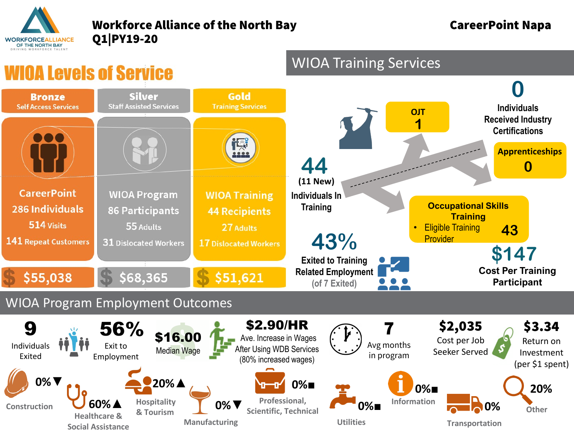

**Social Assistance**

## Workforce Alliance of the North Bay **CareerPoint Napa** Q1|PY19-20

**Transportation**